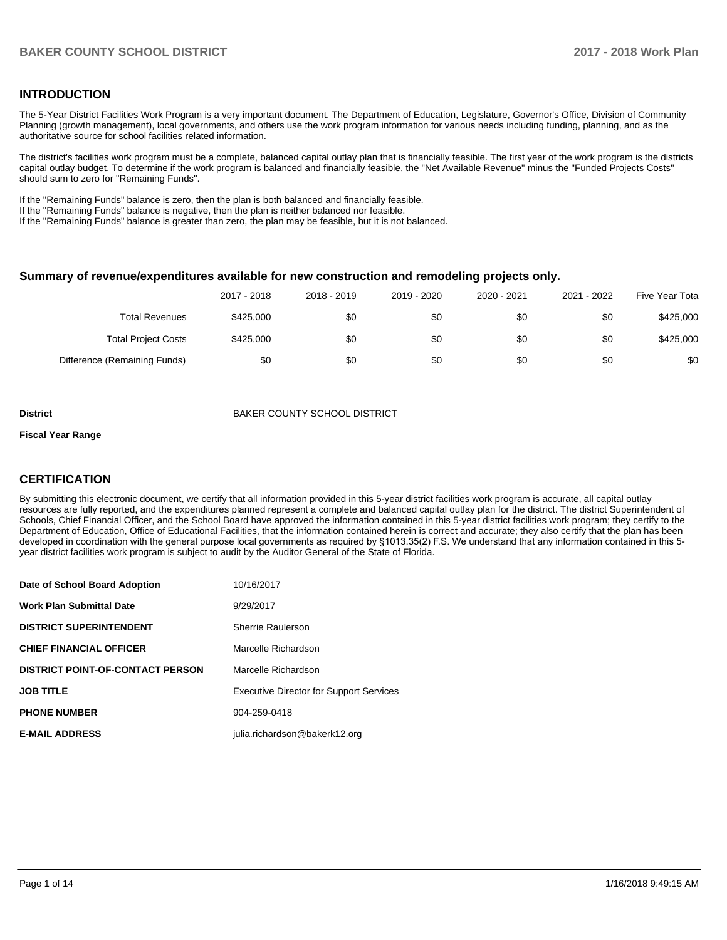### **INTRODUCTION**

The 5-Year District Facilities Work Program is a very important document. The Department of Education, Legislature, Governor's Office, Division of Community Planning (growth management), local governments, and others use the work program information for various needs including funding, planning, and as the authoritative source for school facilities related information.

The district's facilities work program must be a complete, balanced capital outlay plan that is financially feasible. The first year of the work program is the districts capital outlay budget. To determine if the work program is balanced and financially feasible, the "Net Available Revenue" minus the "Funded Projects Costs" should sum to zero for "Remaining Funds".

If the "Remaining Funds" balance is zero, then the plan is both balanced and financially feasible.

If the "Remaining Funds" balance is negative, then the plan is neither balanced nor feasible.

If the "Remaining Funds" balance is greater than zero, the plan may be feasible, but it is not balanced.

#### **Summary of revenue/expenditures available for new construction and remodeling projects only.**

| Five Year Tota | 2021 - 2022 | 2020 - 2021 | 2019 - 2020 | 2018 - 2019 | 2017 - 2018 |                              |
|----------------|-------------|-------------|-------------|-------------|-------------|------------------------------|
| \$425,000      | \$0         | \$0         | \$0         | \$0         | \$425,000   | Total Revenues               |
| \$425,000      | \$0         | \$0         | \$0         | \$0         | \$425,000   | <b>Total Project Costs</b>   |
| \$0            | \$0         | \$0         | \$0         | \$0         | \$0         | Difference (Remaining Funds) |

**District District BAKER COUNTY SCHOOL DISTRICT** 

#### **Fiscal Year Range**

## **CERTIFICATION**

By submitting this electronic document, we certify that all information provided in this 5-year district facilities work program is accurate, all capital outlay resources are fully reported, and the expenditures planned represent a complete and balanced capital outlay plan for the district. The district Superintendent of Schools, Chief Financial Officer, and the School Board have approved the information contained in this 5-year district facilities work program; they certify to the Department of Education, Office of Educational Facilities, that the information contained herein is correct and accurate; they also certify that the plan has been developed in coordination with the general purpose local governments as required by §1013.35(2) F.S. We understand that any information contained in this 5year district facilities work program is subject to audit by the Auditor General of the State of Florida.

| Date of School Board Adoption           | 10/16/2017                                     |
|-----------------------------------------|------------------------------------------------|
| Work Plan Submittal Date                | 9/29/2017                                      |
| <b>DISTRICT SUPERINTENDENT</b>          | Sherrie Raulerson                              |
| <b>CHIEF FINANCIAL OFFICER</b>          | Marcelle Richardson                            |
| <b>DISTRICT POINT-OF-CONTACT PERSON</b> | Marcelle Richardson                            |
| JOB TITLE                               | <b>Executive Director for Support Services</b> |
| <b>PHONE NUMBER</b>                     | 904-259-0418                                   |
| <b>E-MAIL ADDRESS</b>                   | julia.richardson@bakerk12.org                  |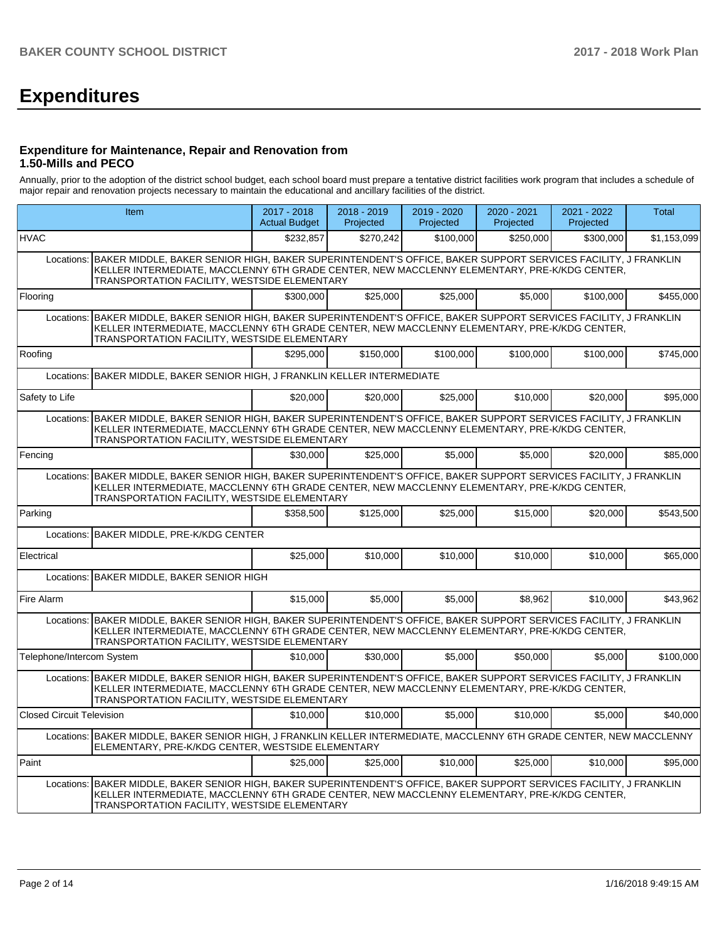# **Expenditures**

#### **Expenditure for Maintenance, Repair and Renovation from 1.50-Mills and PECO**

Annually, prior to the adoption of the district school budget, each school board must prepare a tentative district facilities work program that includes a schedule of major repair and renovation projects necessary to maintain the educational and ancillary facilities of the district.

|                                  | Item                                                                                                                                                                                                                                                                   | 2017 - 2018<br><b>Actual Budget</b> | 2018 - 2019<br>Projected | 2019 - 2020<br>Projected | $2020 - 2021$<br>Projected | 2021 - 2022<br>Projected | Total       |  |
|----------------------------------|------------------------------------------------------------------------------------------------------------------------------------------------------------------------------------------------------------------------------------------------------------------------|-------------------------------------|--------------------------|--------------------------|----------------------------|--------------------------|-------------|--|
| <b>HVAC</b>                      |                                                                                                                                                                                                                                                                        | \$232,857                           | \$270.242                | \$100,000                | \$250,000                  | \$300,000                | \$1,153,099 |  |
| Locations:                       | BAKER MIDDLE, BAKER SENIOR HIGH, BAKER SUPERINTENDENT'S OFFICE, BAKER SUPPORT SERVICES FACILITY, J FRANKLIN<br>KELLER INTERMEDIATE, MACCLENNY 6TH GRADE CENTER, NEW MACCLENNY ELEMENTARY, PRE-K/KDG CENTER,<br>TRANSPORTATION FACILITY, WESTSIDE ELEMENTARY            |                                     |                          |                          |                            |                          |             |  |
| Flooring                         |                                                                                                                                                                                                                                                                        | \$300,000                           | \$25,000                 | \$25,000                 | \$5,000                    | \$100,000                | \$455,000   |  |
|                                  | Locations: BAKER MIDDLE, BAKER SENIOR HIGH, BAKER SUPERINTENDENT'S OFFICE, BAKER SUPPORT SERVICES FACILITY, J FRANKLIN<br>KELLER INTERMEDIATE, MACCLENNY 6TH GRADE CENTER, NEW MACCLENNY ELEMENTARY, PRE-K/KDG CENTER,<br>TRANSPORTATION FACILITY, WESTSIDE ELEMENTARY |                                     |                          |                          |                            |                          |             |  |
| Roofing                          |                                                                                                                                                                                                                                                                        | \$295.000                           | \$150,000                | \$100.000                | \$100.000                  | \$100,000                | \$745,000   |  |
|                                  | Locations: BAKER MIDDLE, BAKER SENIOR HIGH, J FRANKLIN KELLER INTERMEDIATE                                                                                                                                                                                             |                                     |                          |                          |                            |                          |             |  |
| Safety to Life                   |                                                                                                                                                                                                                                                                        | \$20,000                            | \$20,000                 | \$25,000                 | \$10,000                   | \$20,000                 | \$95,000    |  |
| Locations:                       | BAKER MIDDLE, BAKER SENIOR HIGH, BAKER SUPERINTENDENT'S OFFICE, BAKER SUPPORT SERVICES FACILITY, J FRANKLIN<br>KELLER INTERMEDIATE, MACCLENNY 6TH GRADE CENTER, NEW MACCLENNY ELEMENTARY, PRE-K/KDG CENTER,<br>TRANSPORTATION FACILITY, WESTSIDE ELEMENTARY            |                                     |                          |                          |                            |                          |             |  |
| Fencing                          |                                                                                                                                                                                                                                                                        | \$30,000                            | \$25.000                 | \$5.000                  | \$5.000                    | \$20,000                 | \$85,000    |  |
| Locations:                       | BAKER MIDDLE, BAKER SENIOR HIGH, BAKER SUPERINTENDENT'S OFFICE, BAKER SUPPORT SERVICES FACILITY, J FRANKLIN<br>KELLER INTERMEDIATE, MACCLENNY 6TH GRADE CENTER, NEW MACCLENNY ELEMENTARY, PRE-K/KDG CENTER,<br>TRANSPORTATION FACILITY, WESTSIDE ELEMENTARY            |                                     |                          |                          |                            |                          |             |  |
| Parking                          |                                                                                                                                                                                                                                                                        | \$358,500                           | \$125,000                | \$25,000                 | \$15,000                   | \$20,000                 | \$543,500   |  |
| Locations:                       | <b>BAKER MIDDLE, PRE-K/KDG CENTER</b>                                                                                                                                                                                                                                  |                                     |                          |                          |                            |                          |             |  |
| Electrical                       |                                                                                                                                                                                                                                                                        | \$25,000                            | \$10.000                 | \$10.000                 | \$10,000                   | \$10,000                 | \$65,000    |  |
| Locations:                       | BAKER MIDDLE, BAKER SENIOR HIGH                                                                                                                                                                                                                                        |                                     |                          |                          |                            |                          |             |  |
| Fire Alarm                       |                                                                                                                                                                                                                                                                        | \$15,000                            | \$5,000                  | \$5,000                  | \$8,962                    | \$10,000                 | \$43,962    |  |
| Locations:                       | BAKER MIDDLE, BAKER SENIOR HIGH, BAKER SUPERINTENDENT'S OFFICE, BAKER SUPPORT SERVICES FACILITY, J FRANKLIN<br>KELLER INTERMEDIATE, MACCLENNY 6TH GRADE CENTER, NEW MACCLENNY ELEMENTARY, PRE-K/KDG CENTER,<br>TRANSPORTATION FACILITY, WESTSIDE ELEMENTARY            |                                     |                          |                          |                            |                          |             |  |
| Telephone/Intercom System        |                                                                                                                                                                                                                                                                        | \$10,000                            | \$30,000                 | \$5,000                  | \$50,000                   | \$5,000                  | \$100,000   |  |
|                                  | Locations: BAKER MIDDLE, BAKER SENIOR HIGH, BAKER SUPERINTENDENT'S OFFICE, BAKER SUPPORT SERVICES FACILITY, J FRANKLIN<br>KELLER INTERMEDIATE, MACCLENNY 6TH GRADE CENTER, NEW MACCLENNY ELEMENTARY, PRE-K/KDG CENTER,<br>TRANSPORTATION FACILITY, WESTSIDE ELEMENTARY |                                     |                          |                          |                            |                          |             |  |
| <b>Closed Circuit Television</b> |                                                                                                                                                                                                                                                                        | \$10,000                            | \$10,000                 | \$5,000                  | \$10,000                   | \$5,000                  | \$40,000    |  |
|                                  | Locations: BAKER MIDDLE, BAKER SENIOR HIGH, J FRANKLIN KELLER INTERMEDIATE, MACCLENNY 6TH GRADE CENTER, NEW MACCLENNY<br>ELEMENTARY, PRE-K/KDG CENTER, WESTSIDE ELEMENTARY                                                                                             |                                     |                          |                          |                            |                          |             |  |
| Paint                            |                                                                                                                                                                                                                                                                        | \$25,000                            | \$25,000                 | \$10,000                 | \$25,000                   | \$10,000                 | \$95,000    |  |
| Locations:                       | BAKER MIDDLE, BAKER SENIOR HIGH, BAKER SUPERINTENDENT'S OFFICE, BAKER SUPPORT SERVICES FACILITY, J FRANKLIN<br>KELLER INTERMEDIATE, MACCLENNY 6TH GRADE CENTER, NEW MACCLENNY ELEMENTARY, PRE-K/KDG CENTER,<br>TRANSPORTATION FACILITY, WESTSIDE ELEMENTARY            |                                     |                          |                          |                            |                          |             |  |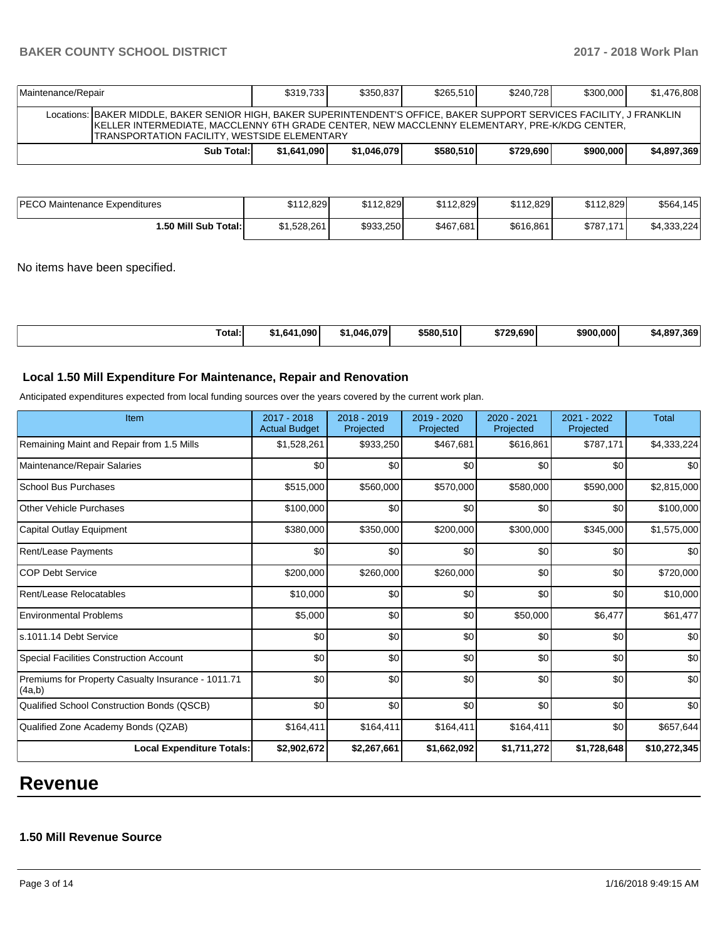## **BAKER COUNTY SCHOOL DISTRICT 2017 - 2018 Work Plan**

| Maintenance/Repair                                                                                                                                                                                                                                                             | \$319.733   | \$350.837   | \$265.510 | \$240.728 | \$300,000 | \$1,476,808 |  |
|--------------------------------------------------------------------------------------------------------------------------------------------------------------------------------------------------------------------------------------------------------------------------------|-------------|-------------|-----------|-----------|-----------|-------------|--|
| Locations: BAKER MIDDLE, BAKER SENIOR HIGH, BAKER SUPERINTENDENT'S OFFICE, BAKER SUPPORT SERVICES FACILITY, J FRANKLIN<br>IKELLER INTERMEDIATE, MACCLENNY 6TH GRADE CENTER, NEW MACCLENNY ELEMENTARY, PRE-K/KDG CENTER,<br><b>TRANSPORTATION FACILITY, WESTSIDE ELEMENTARY</b> |             |             |           |           |           |             |  |
| Sub Total:                                                                                                                                                                                                                                                                     | \$1.641.090 | \$1.046.079 | \$580,510 | \$729.690 | \$900,000 | \$4,897,369 |  |

| <b>PECO Maintenance Expenditures</b> | \$112.829   | \$112.829 | \$112,829 | \$112,829 | \$112.829 | \$564,145   |
|--------------------------------------|-------------|-----------|-----------|-----------|-----------|-------------|
| <b>∩.50 Mill Sub Total:</b>          | \$1,528,261 | \$933,250 | \$467,681 | \$616,861 | \$787,171 | \$4,333,224 |

No items have been specified.

| Гоtal: | ا 090.∟<br>1.64″ه | ا046.079.، | \$580,510 | \$729.690 | \$900.000 | .369<br>. 897 |
|--------|-------------------|------------|-----------|-----------|-----------|---------------|
|--------|-------------------|------------|-----------|-----------|-----------|---------------|

## **Local 1.50 Mill Expenditure For Maintenance, Repair and Renovation**

Anticipated expenditures expected from local funding sources over the years covered by the current work plan.

| Item                                                         | 2017 - 2018<br><b>Actual Budget</b> | 2018 - 2019<br>Projected | 2019 - 2020<br>Projected | 2020 - 2021<br>Projected | 2021 - 2022<br>Projected | <b>Total</b> |
|--------------------------------------------------------------|-------------------------------------|--------------------------|--------------------------|--------------------------|--------------------------|--------------|
| Remaining Maint and Repair from 1.5 Mills                    | \$1,528,261                         | \$933,250                | \$467,681                | \$616,861                | \$787,171                | \$4,333,224  |
| Maintenance/Repair Salaries                                  | \$0                                 | \$0                      | \$0                      | \$0                      | \$0                      | \$0          |
| <b>School Bus Purchases</b>                                  | \$515,000                           | \$560,000                | \$570,000                | \$580,000                | \$590,000                | \$2,815,000  |
| <b>Other Vehicle Purchases</b>                               | \$100,000                           | \$0                      | \$0                      | \$0                      | \$0                      | \$100,000    |
| Capital Outlay Equipment                                     | \$380,000                           | \$350,000                | \$200,000                | \$300,000                | \$345,000                | \$1,575,000  |
| Rent/Lease Payments                                          | \$0                                 | \$0                      | \$0                      | \$0                      | \$0                      | \$0          |
| <b>COP Debt Service</b>                                      | \$200,000                           | \$260,000                | \$260,000                | \$0                      | \$0                      | \$720,000    |
| Rent/Lease Relocatables                                      | \$10,000                            | \$0                      | \$0                      | \$0                      | \$0                      | \$10,000     |
| <b>Environmental Problems</b>                                | \$5,000                             | \$0                      | \$0                      | \$50,000                 | \$6,477                  | \$61,477     |
| s.1011.14 Debt Service                                       | \$0                                 | \$0                      | \$0                      | \$0                      | \$0                      | \$0          |
| Special Facilities Construction Account                      | \$0                                 | \$0                      | \$0                      | \$0                      | \$0                      | \$0          |
| Premiums for Property Casualty Insurance - 1011.71<br>(4a,b) | \$0                                 | \$0                      | \$0                      | \$0                      | \$0                      | \$0          |
| Qualified School Construction Bonds (QSCB)                   | \$0                                 | \$0                      | \$0                      | \$0                      | \$0                      | \$0          |
| Qualified Zone Academy Bonds (QZAB)                          | \$164,411                           | \$164,411                | \$164,411                | \$164,411                | \$0                      | \$657,644    |
| <b>Local Expenditure Totals:</b>                             | \$2,902,672                         | \$2,267,661              | \$1,662,092              | \$1,711,272              | \$1,728,648              | \$10,272,345 |

# **Revenue**

# **1.50 Mill Revenue Source**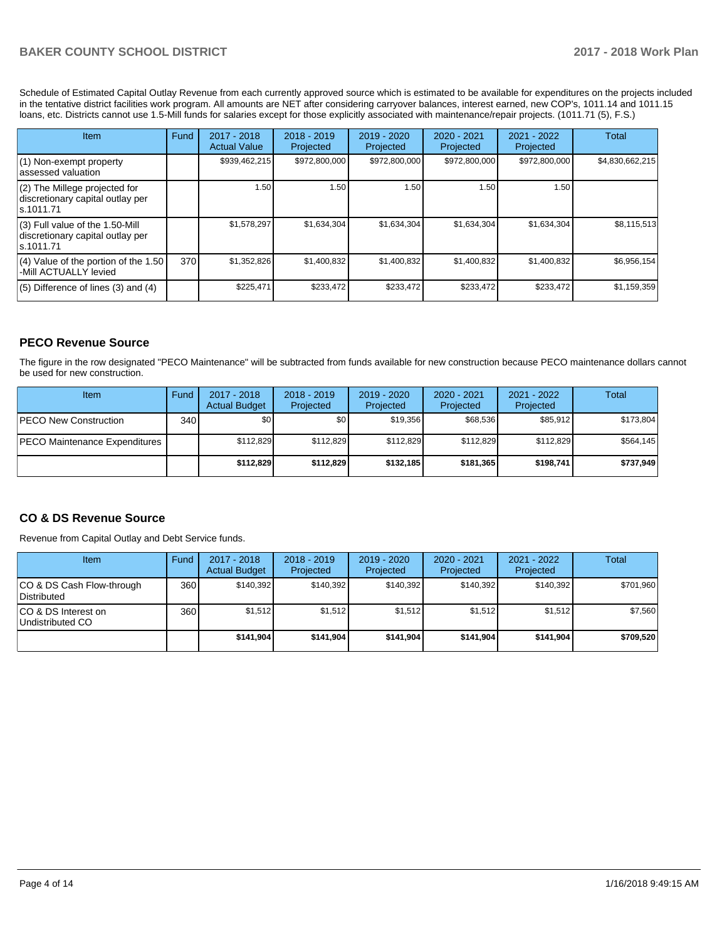Schedule of Estimated Capital Outlay Revenue from each currently approved source which is estimated to be available for expenditures on the projects included in the tentative district facilities work program. All amounts are NET after considering carryover balances, interest earned, new COP's, 1011.14 and 1011.15 loans, etc. Districts cannot use 1.5-Mill funds for salaries except for those explicitly associated with maintenance/repair projects. (1011.71 (5), F.S.)

| Item                                                                                | Fund | $2017 - 2018$<br><b>Actual Value</b> | $2018 - 2019$<br>Projected | $2019 - 2020$<br>Projected | $2020 - 2021$<br>Projected | $2021 - 2022$<br>Projected | <b>Total</b>    |
|-------------------------------------------------------------------------------------|------|--------------------------------------|----------------------------|----------------------------|----------------------------|----------------------------|-----------------|
| (1) Non-exempt property<br>lassessed valuation                                      |      | \$939,462,215                        | \$972,800,000              | \$972,800,000              | \$972,800,000              | \$972,800,000              | \$4,830,662,215 |
| $(2)$ The Millege projected for<br>discretionary capital outlay per<br>ls.1011.71   |      | 1.50                                 | 1.50                       | 1.50                       | 1.50                       | 1.50                       |                 |
| $(3)$ Full value of the 1.50-Mill<br>discretionary capital outlay per<br>ls.1011.71 |      | \$1.578.297                          | \$1,634,304                | \$1,634,304                | \$1.634.304                | \$1,634,304                | \$8,115,513     |
| $(4)$ Value of the portion of the 1.50<br>-Mill ACTUALLY levied                     | 370  | \$1,352,826                          | \$1,400,832                | \$1,400,832                | \$1,400,832                | \$1,400,832                | \$6,956,154     |
| $(5)$ Difference of lines (3) and (4)                                               |      | \$225,471                            | \$233,472                  | \$233,472                  | \$233,472                  | \$233,472                  | \$1,159,359     |

# **PECO Revenue Source**

The figure in the row designated "PECO Maintenance" will be subtracted from funds available for new construction because PECO maintenance dollars cannot be used for new construction.

| Item                                 | Fund | 2017 - 2018<br><b>Actual Budget</b> | $2018 - 2019$<br>Projected | $2019 - 2020$<br>Projected | $2020 - 2021$<br>Projected | 2021 - 2022<br>Projected | Total     |
|--------------------------------------|------|-------------------------------------|----------------------------|----------------------------|----------------------------|--------------------------|-----------|
| <b>IPECO New Construction</b>        | 340  | \$0                                 | \$٥Ι                       | \$19.356                   | \$68,536                   | \$85,912                 | \$173.804 |
| <b>PECO Maintenance Expenditures</b> |      | \$112,829                           | \$112.829                  | \$112.829                  | \$112.829                  | \$112.829                | \$564,145 |
|                                      |      | \$112,829                           | \$112,829                  | \$132,185                  | \$181.365                  | \$198,741                | \$737,949 |

## **CO & DS Revenue Source**

Revenue from Capital Outlay and Debt Service funds.

| Item                                      | Fund  | $2017 - 2018$<br><b>Actual Budget</b> | $2018 - 2019$<br>Projected | 2019 - 2020<br>Projected | $2020 - 2021$<br>Projected | 2021 - 2022<br>Projected | <b>Total</b> |
|-------------------------------------------|-------|---------------------------------------|----------------------------|--------------------------|----------------------------|--------------------------|--------------|
| ICO & DS Cash Flow-through<br>Distributed | 360 l | \$140.392                             | \$140.392                  | \$140.392                | \$140.392                  | \$140.392                | \$701,960    |
| ICO & DS Interest on<br>Undistributed CO  | 360   | \$1,512                               | \$1,512                    | \$1,512                  | \$1.512                    | \$1,512                  | \$7,560      |
|                                           |       | \$141.904                             | \$141,904                  | \$141.904                | \$141.904                  | \$141.904                | \$709,520    |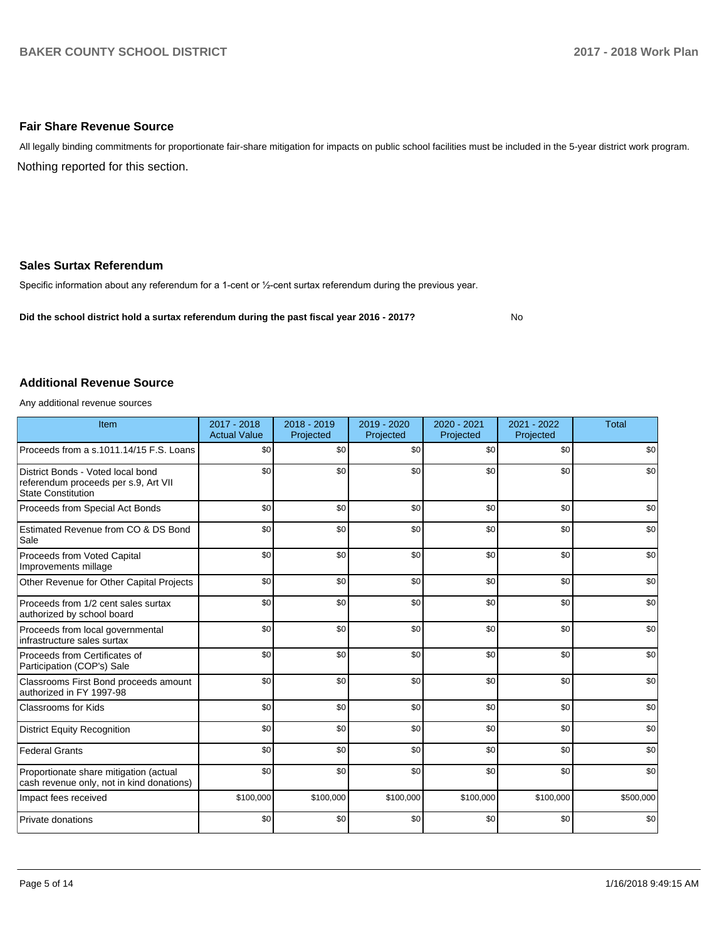#### **Fair Share Revenue Source**

Nothing reported for this section. All legally binding commitments for proportionate fair-share mitigation for impacts on public school facilities must be included in the 5-year district work program.

#### **Sales Surtax Referendum**

Specific information about any referendum for a 1-cent or 1/2-cent surtax referendum during the previous year.

**Did the school district hold a surtax referendum during the past fiscal year 2016 - 2017?**

No

#### **Additional Revenue Source**

Any additional revenue sources

| Item                                                                                                   | $2017 - 2018$<br><b>Actual Value</b> | $2018 - 2019$<br>Projected | 2019 - 2020<br>Projected | 2020 - 2021<br>Projected | 2021 - 2022<br>Projected | <b>Total</b> |
|--------------------------------------------------------------------------------------------------------|--------------------------------------|----------------------------|--------------------------|--------------------------|--------------------------|--------------|
| Proceeds from a s.1011.14/15 F.S. Loans                                                                | \$0                                  | \$0                        | \$0                      | \$0                      | \$0                      | \$0          |
| District Bonds - Voted local bond<br>referendum proceeds per s.9, Art VII<br><b>State Constitution</b> | \$0                                  | \$0                        | \$0                      | \$0                      | \$0                      | \$0          |
| Proceeds from Special Act Bonds                                                                        | \$0                                  | \$0                        | \$0                      | \$0                      | \$0                      | \$0          |
| Estimated Revenue from CO & DS Bond<br>Sale                                                            | \$0                                  | \$0                        | \$0                      | \$0                      | \$0                      | \$0          |
| Proceeds from Voted Capital<br>Improvements millage                                                    | \$0                                  | \$0                        | \$0                      | \$0                      | \$0                      | \$0          |
| Other Revenue for Other Capital Projects                                                               | \$0                                  | \$0                        | \$0                      | \$0                      | \$0                      | \$0          |
| Proceeds from 1/2 cent sales surtax<br>authorized by school board                                      | \$0                                  | \$0                        | \$0                      | \$0                      | \$0                      | \$0          |
| Proceeds from local governmental<br>infrastructure sales surtax                                        | \$0                                  | \$0                        | \$0                      | \$0                      | \$0                      | \$0          |
| Proceeds from Certificates of<br>Participation (COP's) Sale                                            | \$0                                  | \$0                        | \$0                      | \$0                      | \$0                      | \$0          |
| Classrooms First Bond proceeds amount<br>authorized in FY 1997-98                                      | \$0                                  | \$0                        | \$0                      | \$0                      | \$0                      | \$0          |
| <b>Classrooms for Kids</b>                                                                             | \$0                                  | \$0                        | \$0                      | \$0                      | \$0                      | \$0          |
| <b>District Equity Recognition</b>                                                                     | \$0                                  | \$0                        | \$0                      | \$0                      | \$0                      | \$0          |
| <b>Federal Grants</b>                                                                                  | \$0                                  | \$0                        | \$0                      | \$0                      | \$0                      | \$0          |
| Proportionate share mitigation (actual<br>cash revenue only, not in kind donations)                    | \$0                                  | \$0                        | \$0                      | \$0                      | \$0                      | \$0          |
| Impact fees received                                                                                   | \$100,000                            | \$100,000                  | \$100,000                | \$100,000                | \$100,000                | \$500,000    |
| Private donations                                                                                      | \$0                                  | \$0                        | \$0                      | \$0                      | \$0                      | \$0          |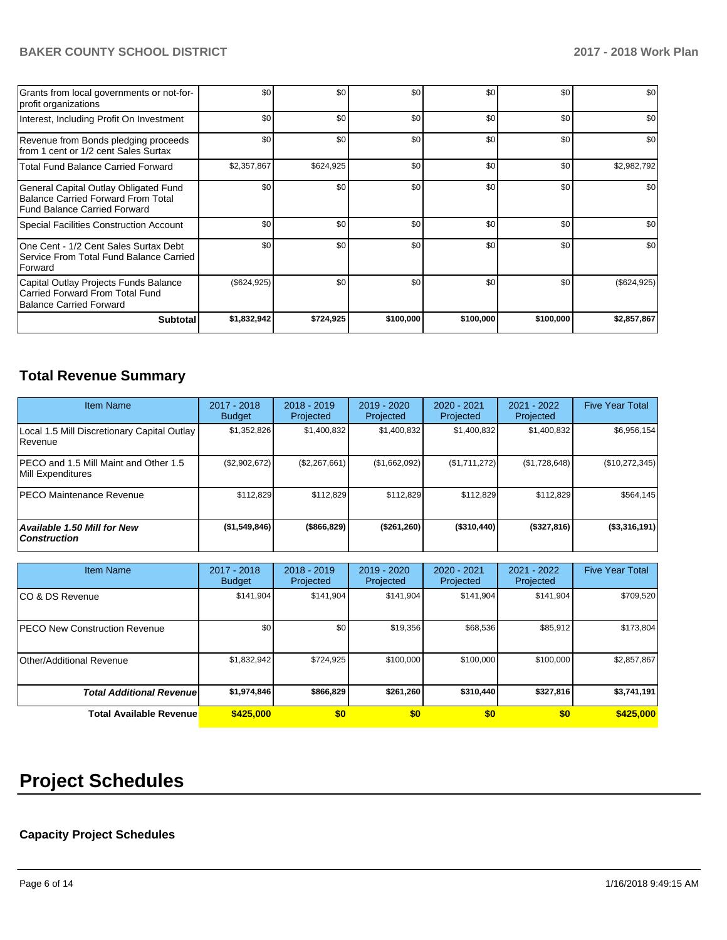# **BAKER COUNTY SCHOOL DISTRICT 2017 - 2018 Work Plan**

| Grants from local governments or not-for-<br>profit organizations                                                         | \$0           | \$0       | \$0       | \$0       | \$0       | \$0         |
|---------------------------------------------------------------------------------------------------------------------------|---------------|-----------|-----------|-----------|-----------|-------------|
| Interest, Including Profit On Investment                                                                                  | \$0           | \$0       | \$0       | \$0       | \$0       | \$0         |
| Revenue from Bonds pledging proceeds<br>from 1 cent or 1/2 cent Sales Surtax                                              | \$0           | \$0       | \$0       | \$0       | \$0       | \$0         |
| <b>Total Fund Balance Carried Forward</b>                                                                                 | \$2,357,867   | \$624,925 | \$0       | \$0       | \$0       | \$2,982,792 |
| General Capital Outlay Obligated Fund<br><b>Balance Carried Forward From Total</b><br><b>Fund Balance Carried Forward</b> | \$0           | \$0       | \$0       | \$0       | \$0       | \$0         |
| <b>Special Facilities Construction Account</b>                                                                            | \$0           | \$0       | \$0       | \$0       | \$0       | \$0         |
| One Cent - 1/2 Cent Sales Surtax Debt<br>Service From Total Fund Balance Carried<br>Forward                               | \$0           | \$0       | \$0       | \$0       | \$0       | \$0         |
| Capital Outlay Projects Funds Balance<br>Carried Forward From Total Fund<br><b>Balance Carried Forward</b>                | $(\$624,925)$ | \$0       | \$0       | \$0       | \$0       | (\$624,925) |
| <b>Subtotal</b>                                                                                                           | \$1,832,942   | \$724,925 | \$100,000 | \$100,000 | \$100,000 | \$2,857,867 |

# **Total Revenue Summary**

| <b>Item Name</b>                                           | 2017 - 2018<br><b>Budget</b> | $2018 - 2019$<br>Projected | 2019 - 2020<br>Projected | 2020 - 2021<br>Projected | 2021 - 2022<br>Projected | <b>Five Year Total</b> |
|------------------------------------------------------------|------------------------------|----------------------------|--------------------------|--------------------------|--------------------------|------------------------|
| Local 1.5 Mill Discretionary Capital Outlay<br>l Revenue   | \$1,352,826                  | \$1,400,832                | \$1,400,832              | \$1,400,832              | \$1,400,832              | \$6,956,154            |
| PECO and 1.5 Mill Maint and Other 1.5<br>Mill Expenditures | (\$2,902,672)                | (\$2,267,661)              | (\$1,662,092)            | (\$1,711,272)            | (\$1,728,648)            | (\$10,272,345)         |
| <b>IPECO Maintenance Revenue</b>                           | \$112.829                    | \$112.829                  | \$112.829                | \$112.829                | \$112.829                | \$564,145              |
| Available 1.50 Mill for New<br><b>Construction</b>         | (\$1,549,846)                | (\$866, 829)               | (\$261, 260)             | $($ \$310,440)           | (\$327,816)              | (\$3,316,191)          |

| <b>Item Name</b>                      | 2017 - 2018<br><b>Budget</b> | $2018 - 2019$<br>Projected | $2019 - 2020$<br>Projected | 2020 - 2021<br>Projected | 2021 - 2022<br>Projected | <b>Five Year Total</b> |
|---------------------------------------|------------------------------|----------------------------|----------------------------|--------------------------|--------------------------|------------------------|
| ICO & DS Revenue                      | \$141,904                    | \$141,904                  | \$141,904                  | \$141,904                | \$141,904                | \$709,520              |
| <b>IPECO New Construction Revenue</b> | \$0                          | \$0                        | \$19,356                   | \$68,536                 | \$85,912                 | \$173,804              |
| Other/Additional Revenue              | \$1,832,942                  | \$724,925                  | \$100,000                  | \$100,000                | \$100,000                | \$2,857,867            |
| <b>Total Additional Revenuel</b>      | \$1,974,846                  | \$866,829                  | \$261.260                  | \$310,440                | \$327,816                | \$3,741,191            |
| <b>Total Available Revenue</b>        | \$425,000                    | \$0                        | \$0                        | \$0                      | \$0                      | \$425,000              |

# **Project Schedules**

# **Capacity Project Schedules**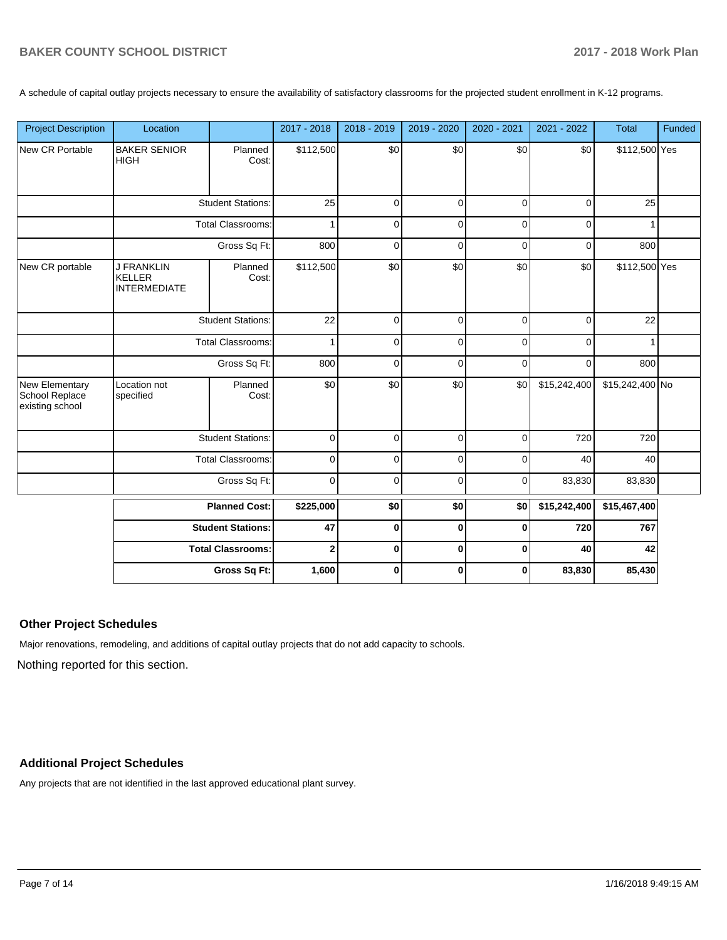A schedule of capital outlay projects necessary to ensure the availability of satisfactory classrooms for the projected student enrollment in K-12 programs.

| <b>Project Description</b>                          | Location                                                  |                          | 2017 - 2018  | 2018 - 2019 | 2019 - 2020 | 2020 - 2021 | 2021 - 2022  | <b>Total</b>    | Funded |
|-----------------------------------------------------|-----------------------------------------------------------|--------------------------|--------------|-------------|-------------|-------------|--------------|-----------------|--------|
| New CR Portable                                     | <b>BAKER SENIOR</b><br><b>HIGH</b>                        | Planned<br>Cost:         | \$112,500    | \$0         | \$0         | \$0         | \$0          | \$112,500 Yes   |        |
|                                                     |                                                           | <b>Student Stations:</b> | 25           | $\mathbf 0$ | $\mathbf 0$ | 0           | $\mathbf 0$  | 25              |        |
|                                                     |                                                           | Total Classrooms:        |              | 0           | 0           | 0           | 0            |                 |        |
|                                                     |                                                           | Gross Sq Ft:             | 800          | 0           | $\mathbf 0$ | 0           | 0            | 800             |        |
| New CR portable                                     | <b>J FRANKLIN</b><br><b>KELLER</b><br><b>INTERMEDIATE</b> | Planned<br>Cost:         | \$112,500    | \$0         | \$0         | \$0         | \$0          | \$112,500 Yes   |        |
|                                                     | <b>Student Stations:</b><br><b>Total Classrooms:</b>      |                          | 22           | $\mathbf 0$ | $\pmb{0}$   | 0           | $\mathbf 0$  | 22              |        |
|                                                     |                                                           |                          | $\mathbf{1}$ | 0           | $\mathbf 0$ | 0           | 0            |                 |        |
|                                                     |                                                           | Gross Sq Ft:             |              | 0           | 0           | 0           | 0            | 800             |        |
| New Elementary<br>School Replace<br>existing school | Location not<br>specified                                 | Planned<br>Cost:         | \$0          | \$0         | \$0         | \$0         | \$15,242,400 | \$15,242,400 No |        |
|                                                     |                                                           | <b>Student Stations:</b> | $\mathbf 0$  | $\Omega$    | $\mathbf 0$ | $\Omega$    | 720          | 720             |        |
|                                                     |                                                           | <b>Total Classrooms:</b> | $\pmb{0}$    | 0           | $\pmb{0}$   | 0           | 40           | 40              |        |
|                                                     |                                                           | Gross Sq Ft:             | $\pmb{0}$    | $\mathbf 0$ | $\mathbf 0$ | 0           | 83,830       | 83,830          |        |
|                                                     |                                                           | <b>Planned Cost:</b>     | \$225,000    | \$0         | \$0         | \$0         | \$15,242,400 | \$15,467,400    |        |
|                                                     |                                                           | <b>Student Stations:</b> | 47           | $\bf{0}$    | $\bf{0}$    | 0           | 720          | 767             |        |
|                                                     |                                                           | <b>Total Classrooms:</b> | $\mathbf 2$  | 0           | $\pmb{0}$   | 0           | 40           | 42              |        |
|                                                     |                                                           | Gross Sq Ft:             | 1,600        | $\bf{0}$    | 0           | 0           | 83,830       | 85,430          |        |

#### **Other Project Schedules**

Major renovations, remodeling, and additions of capital outlay projects that do not add capacity to schools.

Nothing reported for this section.

# **Additional Project Schedules**

Any projects that are not identified in the last approved educational plant survey.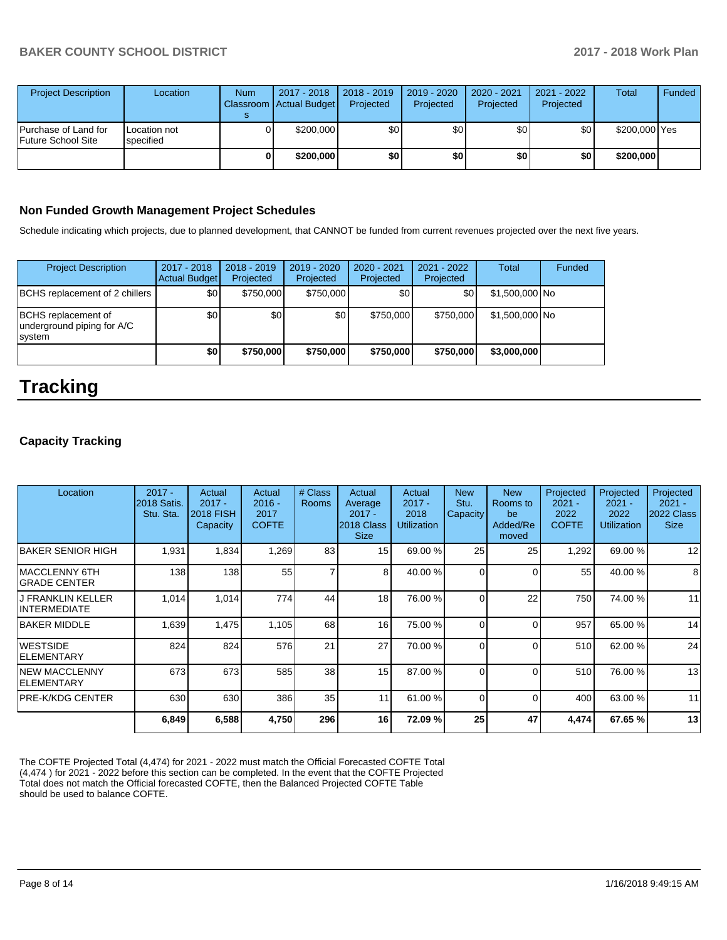| <b>Project Description</b>                        | Location                  | <b>Num</b> | 2017 - 2018<br>Classroom Actual Budget | 2018 - 2019<br>Projected | 2019 - 2020<br>Projected | 2020 - 2021<br>Projected | 2021 - 2022<br>Projected | Total         | Funded |
|---------------------------------------------------|---------------------------|------------|----------------------------------------|--------------------------|--------------------------|--------------------------|--------------------------|---------------|--------|
| Purchase of Land for<br><b>Future School Site</b> | Location not<br>specified |            | \$200,000                              | \$0                      | \$0                      | \$٥Ι                     | \$0                      | \$200,000 Yes |        |
|                                                   |                           | OΙ         | \$200,000                              | \$0                      | \$0                      | \$0 I                    | \$0                      | \$200,000     |        |

#### **Non Funded Growth Management Project Schedules**

Schedule indicating which projects, due to planned development, that CANNOT be funded from current revenues projected over the next five years.

| <b>Project Description</b>                                  | 2017 - 2018<br>Actual Budget | $2018 - 2019$<br>Projected | $2019 - 2020$<br>Projected | $2020 - 2021$<br>Projected | 2021 - 2022<br>Projected | <b>Total</b>   | Funded |
|-------------------------------------------------------------|------------------------------|----------------------------|----------------------------|----------------------------|--------------------------|----------------|--------|
| BCHS replacement of 2 chillers                              | \$0                          | \$750,000                  | \$750,000                  | \$0                        | \$0                      | \$1,500,000 No |        |
| BCHS replacement of<br>underground piping for A/C<br>system | \$0                          | \$0                        | \$0                        | \$750,000                  | \$750,000                | \$1,500,000 No |        |
|                                                             | \$0                          | \$750,000                  | \$750,000                  | \$750,000                  | \$750,000                | \$3,000,000    |        |

# **Tracking**

## **Capacity Tracking**

| Location                                 | $2017 -$<br>2018 Satis.<br>Stu. Sta. | Actual<br>$2017 -$<br><b>2018 FISH</b><br>Capacity | Actual<br>$2016 -$<br>2017<br><b>COFTE</b> | # Class<br><b>Rooms</b> | Actual<br>Average<br>$2017 -$<br>2018 Class<br><b>Size</b> | Actual<br>$2017 -$<br>2018<br><b>Utilization</b> | <b>New</b><br>Stu.<br>Capacity | <b>New</b><br>Rooms to<br>be<br>Added/Re<br>moved | Projected<br>$2021 -$<br>2022<br><b>COFTE</b> | Projected<br>$2021 -$<br>2022<br><b>Utilization</b> | Projected<br>$2021 -$<br>2022 Class<br><b>Size</b> |
|------------------------------------------|--------------------------------------|----------------------------------------------------|--------------------------------------------|-------------------------|------------------------------------------------------------|--------------------------------------------------|--------------------------------|---------------------------------------------------|-----------------------------------------------|-----------------------------------------------------|----------------------------------------------------|
| BAKER SENIOR HIGH                        | 1,931                                | 1,834                                              | 1,269                                      | 83                      | 15                                                         | 69.00 %                                          | 25                             | 25                                                | 1,292                                         | 69.00 %                                             | 12                                                 |
| MACCLENNY 6TH<br>IGRADE CENTER           | 138                                  | 138                                                | 55                                         | $\overline{7}$          | 8                                                          | 40.00 %                                          | 0                              | $\Omega$                                          | 55                                            | 40.00 %                                             | 8                                                  |
| <b>J FRANKLIN KELLER</b><br>INTERMEDIATE | 1.014                                | 1,014                                              | 774                                        | 44                      | 18                                                         | 76.00 %                                          | 0                              | 22                                                | 750                                           | 74.00 %                                             | 11                                                 |
| IBAKER MIDDLE                            | 1,639                                | 1,475                                              | 1,105                                      | 68                      | 16                                                         | 75.00 %                                          | 0                              | $\Omega$                                          | 957                                           | 65.00 %                                             | 14                                                 |
| IWESTSIDE<br><b>IELEMENTARY</b>          | 824                                  | 824                                                | 576                                        | 21                      | 27                                                         | 70.00 %                                          | 0                              | $\Omega$                                          | 510                                           | 62.00 %                                             | 24                                                 |
| INEW MACCLENNY<br><b>IELEMENTARY</b>     | 673                                  | 673                                                | 585                                        | 38                      | 15                                                         | 87.00 %                                          | 0                              | $\Omega$                                          | 510                                           | 76.00 %                                             | 13                                                 |
| <b>PRE-K/KDG CENTER</b>                  | 630                                  | 630                                                | 386                                        | 35                      | 11                                                         | 61.00 %                                          | 0                              | $\Omega$                                          | 400                                           | 63.00 %                                             | 11                                                 |
|                                          | 6,849                                | 6,588                                              | 4,750                                      | 296                     | 16                                                         | 72.09%                                           | 25                             | 47                                                | 4,474                                         | 67.65%                                              | 13                                                 |

The COFTE Projected Total (4,474) for 2021 - 2022 must match the Official Forecasted COFTE Total (4,474 ) for 2021 - 2022 before this section can be completed. In the event that the COFTE Projected Total does not match the Official forecasted COFTE, then the Balanced Projected COFTE Table should be used to balance COFTE.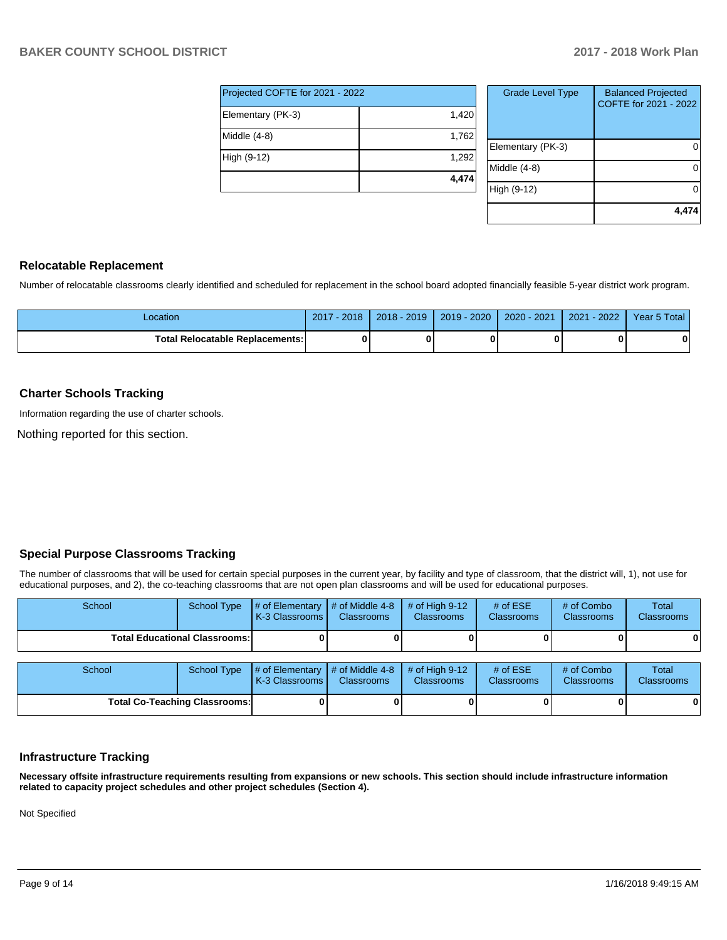| Projected COFTE for 2021 - 2022 |       |  |  |  |  |
|---------------------------------|-------|--|--|--|--|
| Elementary (PK-3)               | 1,420 |  |  |  |  |
| Middle (4-8)                    | 1,762 |  |  |  |  |
| High (9-12)                     | 1,292 |  |  |  |  |
|                                 | 4,474 |  |  |  |  |

| <b>Grade Level Type</b> | <b>Balanced Projected</b><br>COFTE for 2021 - 2022 |
|-------------------------|----------------------------------------------------|
| Elementary (PK-3)       |                                                    |
| Middle (4-8)            |                                                    |
| High (9-12)             |                                                    |
|                         | 4,474                                              |

## **Relocatable Replacement**

Number of relocatable classrooms clearly identified and scheduled for replacement in the school board adopted financially feasible 5-year district work program.

| _ocation                         | 2018<br>2017 | $2018 - 2019$ | 2019 - 2020 | 2020 - 2021 | $-2022$<br>2021 | Year 5 Total |
|----------------------------------|--------------|---------------|-------------|-------------|-----------------|--------------|
| Total Relocatable Replacements:I |              |               |             | n           |                 | 0            |

## **Charter Schools Tracking**

Information regarding the use of charter schools.

Nothing reported for this section.

## **Special Purpose Classrooms Tracking**

The number of classrooms that will be used for certain special purposes in the current year, by facility and type of classroom, that the district will, 1), not use for educational purposes, and 2), the co-teaching classrooms that are not open plan classrooms and will be used for educational purposes.

| School                               | School Type | $\#$ of Elementary $\#$ of Middle 4-8<br><b>IK-3 Classrooms I</b> | <b>Classrooms</b> | $#$ of High 9-12<br><b>Classrooms</b> | # of $ESE$<br><b>Classrooms</b> | # of Combo<br><b>Classrooms</b> | Total<br><b>Classrooms</b> |
|--------------------------------------|-------------|-------------------------------------------------------------------|-------------------|---------------------------------------|---------------------------------|---------------------------------|----------------------------|
| <b>Total Educational Classrooms:</b> |             |                                                                   |                   |                                       |                                 | 0                               |                            |
|                                      |             |                                                                   |                   |                                       |                                 |                                 |                            |
| School                               | School Type | $\#$ of Elementary $\#$ of Middle 4-8<br>K-3 Classrooms           | <b>Classrooms</b> | # of High $9-12$<br><b>Classrooms</b> | # of $ESE$<br><b>Classrooms</b> | # of Combo<br><b>Classrooms</b> | Total<br><b>Classrooms</b> |

**Total Co-Teaching Classrooms: 0 0 0 0 0 0**

| <b>Infrastructure Tracking</b> |  |
|--------------------------------|--|
|                                |  |

**Necessary offsite infrastructure requirements resulting from expansions or new schools. This section should include infrastructure information related to capacity project schedules and other project schedules (Section 4).** 

Not Specified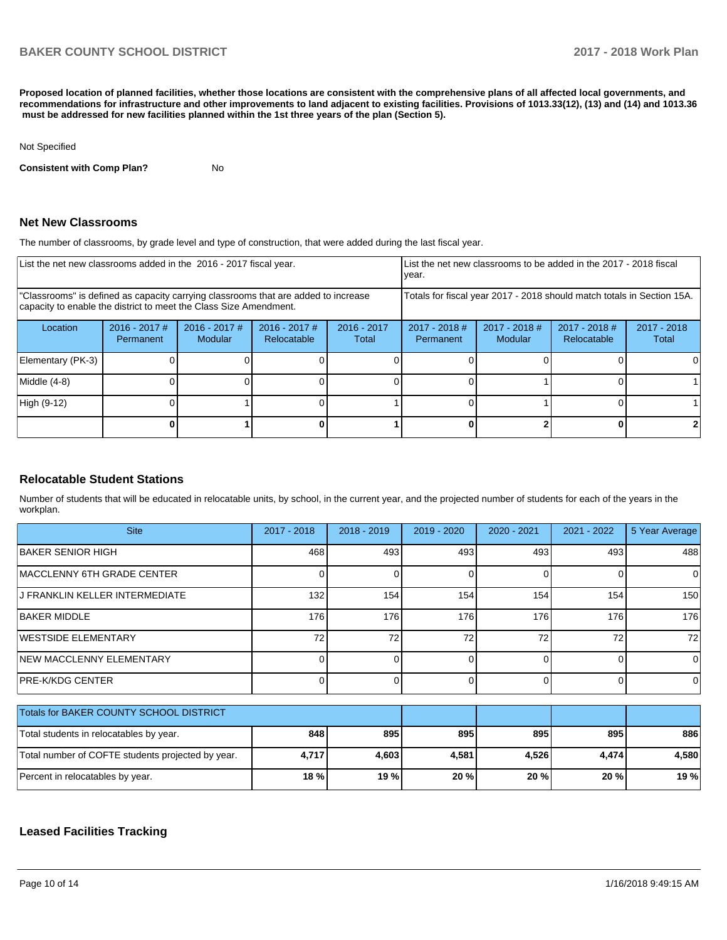**Proposed location of planned facilities, whether those locations are consistent with the comprehensive plans of all affected local governments, and recommendations for infrastructure and other improvements to land adjacent to existing facilities. Provisions of 1013.33(12), (13) and (14) and 1013.36 must be addressed for new facilities planned within the 1st three years of the plan (Section 5).** 

#### Not Specified

**Consistent with Comp Plan?** No

#### **Net New Classrooms**

The number of classrooms, by grade level and type of construction, that were added during the last fiscal year.

| List the net new classrooms added in the 2016 - 2017 fiscal year.                                                                                       | List the net new classrooms to be added in the 2017 - 2018 fiscal<br>year. |                                   |                                |                        |                                                                        |                            |                                |                        |  |
|---------------------------------------------------------------------------------------------------------------------------------------------------------|----------------------------------------------------------------------------|-----------------------------------|--------------------------------|------------------------|------------------------------------------------------------------------|----------------------------|--------------------------------|------------------------|--|
| "Classrooms" is defined as capacity carrying classrooms that are added to increase<br>capacity to enable the district to meet the Class Size Amendment. |                                                                            |                                   |                                |                        | Totals for fiscal year 2017 - 2018 should match totals in Section 15A. |                            |                                |                        |  |
| Location                                                                                                                                                | $2016 - 2017$ #<br><b>Permanent</b>                                        | $2016 - 2017$ #<br><b>Modular</b> | $2016 - 2017$ #<br>Relocatable | $2016 - 2017$<br>Total | $2017 - 2018$ #<br>Permanent                                           | $2017 - 2018$ #<br>Modular | $2017 - 2018$ #<br>Relocatable | $2017 - 2018$<br>Total |  |
| Elementary (PK-3)                                                                                                                                       |                                                                            |                                   |                                |                        |                                                                        |                            |                                |                        |  |
| Middle (4-8)                                                                                                                                            |                                                                            |                                   |                                |                        |                                                                        |                            |                                |                        |  |
| High (9-12)                                                                                                                                             |                                                                            |                                   |                                |                        |                                                                        |                            |                                |                        |  |
|                                                                                                                                                         |                                                                            |                                   |                                |                        |                                                                        |                            |                                |                        |  |

#### **Relocatable Student Stations**

Number of students that will be educated in relocatable units, by school, in the current year, and the projected number of students for each of the years in the workplan.

| <b>Site</b>                                       | 2017 - 2018 | 2018 - 2019 | 2019 - 2020 | 2020 - 2021 | 2021 - 2022 | 5 Year Average |
|---------------------------------------------------|-------------|-------------|-------------|-------------|-------------|----------------|
| BAKER SENIOR HIGH                                 | 468         | 493         | 493         | 493         | 493         | 488            |
| MACCLENNY 6TH GRADE CENTER                        |             |             | ŋ           | $\Omega$    | 0           | $\Omega$       |
| J FRANKLIN KELLER INTERMEDIATE                    | 132         | 154         | 154         | 154         | 154         | 150            |
| <b>BAKER MIDDLE</b>                               | 176         | 176         | 176         | 176         | 176         | 176            |
| WESTSIDE ELEMENTARY                               | 72          | 72          | 72          | 72          | 72          | 72             |
| <b>INEW MACCLENNY ELEMENTARY</b>                  |             | 0           | O           | $\Omega$    | 0           | $\Omega$       |
| <b>IPRE-K/KDG CENTER</b>                          |             | 0           | 0           | $\Omega$    | 0           | $\Omega$       |
| Totals for BAKER COUNTY SCHOOL DISTRICT           |             |             |             |             |             |                |
| Total students in relocatables by year.           | 848         | 895         | 895         | 895         | 895         | 886            |
| Total number of COFTE students projected by year. | 4,717       | 4,603       | 4,581       | 4,526       | 4,474       | 4,580          |
| Percent in relocatables by year.                  | 18 %        | 19 %        | 20 %        | 20 %        | 20 %        | 19 %           |

## **Leased Facilities Tracking**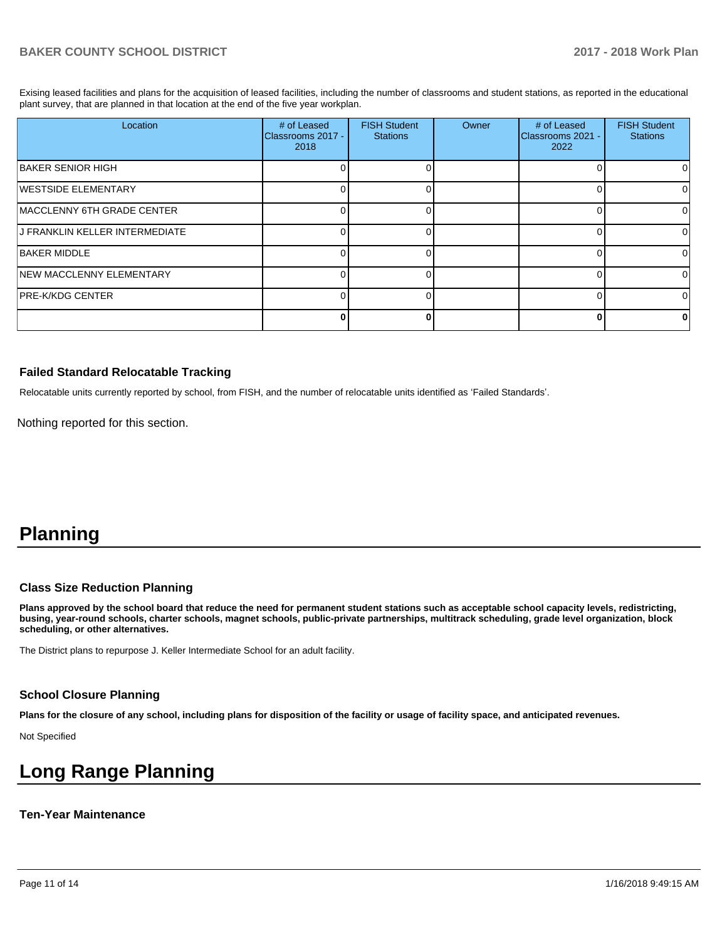Exising leased facilities and plans for the acquisition of leased facilities, including the number of classrooms and student stations, as reported in the educational plant survey, that are planned in that location at the end of the five year workplan.

| Location                       | # of Leased<br>Classrooms 2017 -<br>2018 | <b>FISH Student</b><br><b>Stations</b> | Owner | # of Leased<br>Classrooms 2021 -<br>2022 | <b>FISH Student</b><br><b>Stations</b> |
|--------------------------------|------------------------------------------|----------------------------------------|-------|------------------------------------------|----------------------------------------|
| <b>BAKER SENIOR HIGH</b>       |                                          |                                        |       |                                          | $^{\circ}$                             |
| <b>WESTSIDE ELEMENTARY</b>     |                                          |                                        |       |                                          |                                        |
| MACCLENNY 6TH GRADE CENTER     |                                          |                                        |       |                                          | <sup>0</sup>                           |
| J FRANKLIN KELLER INTERMEDIATE |                                          |                                        |       |                                          | 0                                      |
| <b>BAKER MIDDLE</b>            |                                          |                                        |       |                                          | 0                                      |
| NEW MACCLENNY ELEMENTARY       |                                          |                                        |       |                                          | U                                      |
| PRE-K/KDG CENTER               |                                          |                                        |       |                                          | ∩                                      |
|                                | n                                        |                                        |       |                                          | 0                                      |

#### **Failed Standard Relocatable Tracking**

Relocatable units currently reported by school, from FISH, and the number of relocatable units identified as 'Failed Standards'.

Nothing reported for this section.

# **Planning**

#### **Class Size Reduction Planning**

**Plans approved by the school board that reduce the need for permanent student stations such as acceptable school capacity levels, redistricting, busing, year-round schools, charter schools, magnet schools, public-private partnerships, multitrack scheduling, grade level organization, block scheduling, or other alternatives.**

The District plans to repurpose J. Keller Intermediate School for an adult facility.

#### **School Closure Planning**

**Plans for the closure of any school, including plans for disposition of the facility or usage of facility space, and anticipated revenues.** 

Not Specified

# **Long Range Planning**

#### **Ten-Year Maintenance**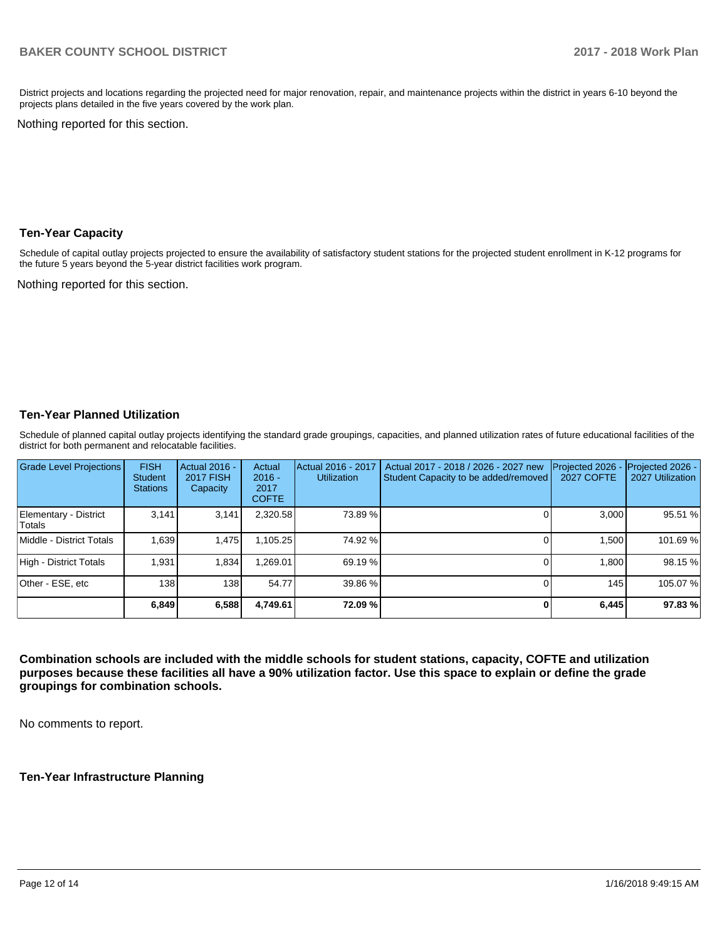District projects and locations regarding the projected need for major renovation, repair, and maintenance projects within the district in years 6-10 beyond the projects plans detailed in the five years covered by the work plan.

Nothing reported for this section.

#### **Ten-Year Capacity**

Schedule of capital outlay projects projected to ensure the availability of satisfactory student stations for the projected student enrollment in K-12 programs for the future 5 years beyond the 5-year district facilities work program.

Nothing reported for this section.

## **Ten-Year Planned Utilization**

Schedule of planned capital outlay projects identifying the standard grade groupings, capacities, and planned utilization rates of future educational facilities of the district for both permanent and relocatable facilities.

| <b>Grade Level Projections</b>  | <b>FISH</b><br><b>Student</b><br><b>Stations</b> | Actual 2016 -<br><b>2017 FISH</b><br>Capacity | Actual<br>$2016 -$<br>2017<br><b>COFTE</b> | Actual 2016 - 2017<br><b>Utilization</b> | Actual 2017 - 2018 / 2026 - 2027 new<br>Student Capacity to be added/removed | Projected 2026<br><b>2027 COFTE</b> | Projected 2026 -<br>2027 Utilization |
|---------------------------------|--------------------------------------------------|-----------------------------------------------|--------------------------------------------|------------------------------------------|------------------------------------------------------------------------------|-------------------------------------|--------------------------------------|
| Elementary - District<br>Totals | 3.141                                            | 3,141                                         | 2,320.58                                   | 73.89 %                                  |                                                                              | 3.000                               | 95.51 %                              |
| Middle - District Totals        | 1.639                                            | 1.475                                         | 1.105.25                                   | 74.92 %                                  |                                                                              | 1.500                               | 101.69%                              |
| High - District Totals          | 1.931                                            | 1,834                                         | .269.01                                    | 69.19 %                                  |                                                                              | 1.800                               | 98.15 %                              |
| Other - ESE, etc                | 138 I                                            | 138                                           | 54.77                                      | 39.86 %                                  |                                                                              | 145                                 | 105.07%                              |
|                                 | 6,849                                            | 6,588                                         | 4,749.61                                   | 72.09 %                                  |                                                                              | 6,445                               | 97.83%                               |

**Combination schools are included with the middle schools for student stations, capacity, COFTE and utilization purposes because these facilities all have a 90% utilization factor. Use this space to explain or define the grade groupings for combination schools.** 

No comments to report.

**Ten-Year Infrastructure Planning**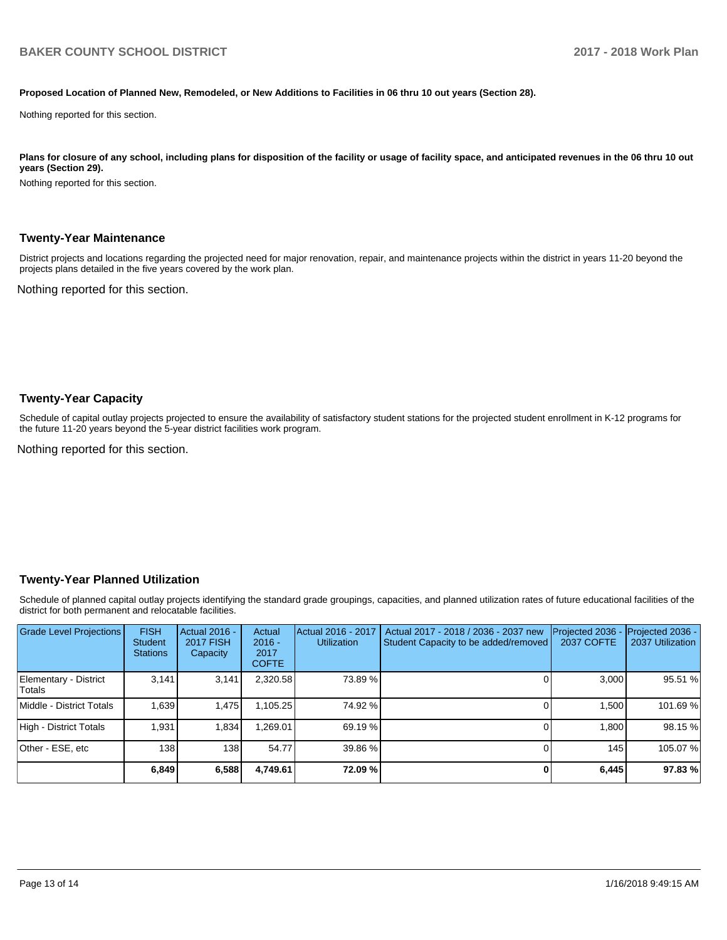#### **Proposed Location of Planned New, Remodeled, or New Additions to Facilities in 06 thru 10 out years (Section 28).**

Nothing reported for this section.

Plans for closure of any school, including plans for disposition of the facility or usage of facility space, and anticipated revenues in the 06 thru 10 out **years (Section 29).**

Nothing reported for this section.

#### **Twenty-Year Maintenance**

District projects and locations regarding the projected need for major renovation, repair, and maintenance projects within the district in years 11-20 beyond the projects plans detailed in the five years covered by the work plan.

Nothing reported for this section.

#### **Twenty-Year Capacity**

Schedule of capital outlay projects projected to ensure the availability of satisfactory student stations for the projected student enrollment in K-12 programs for the future 11-20 years beyond the 5-year district facilities work program.

Nothing reported for this section.

#### **Twenty-Year Planned Utilization**

Schedule of planned capital outlay projects identifying the standard grade groupings, capacities, and planned utilization rates of future educational facilities of the district for both permanent and relocatable facilities.

| <b>Grade Level Projections</b>   | <b>FISH</b><br><b>Student</b><br><b>Stations</b> | <b>Actual 2016 -</b><br><b>2017 FISH</b><br>Capacity | Actual<br>$2016 -$<br>2017<br><b>COFTE</b> | Actual 2016 - 2017<br><b>Utilization</b> | Actual 2017 - 2018 / 2036 - 2037 new<br>Student Capacity to be added/removed | Projected 2036<br><b>2037 COFTE</b> | <b>Projected 2036 -</b><br>2037 Utilization |
|----------------------------------|--------------------------------------------------|------------------------------------------------------|--------------------------------------------|------------------------------------------|------------------------------------------------------------------------------|-------------------------------------|---------------------------------------------|
| Elementary - District<br> Totals | 3.141                                            | 3,141                                                | 2,320.58                                   | 73.89 %                                  |                                                                              | 3.000                               | 95.51 %                                     |
| Middle - District Totals         | 1.639                                            | 1.475                                                | 1.105.25                                   | 74.92 %                                  |                                                                              | 1.500                               | 101.69%                                     |
| High - District Totals           | 1.931                                            | 1.834                                                | .269.01                                    | 69.19 %                                  |                                                                              | 1.800                               | 98.15%                                      |
| Other - ESE, etc                 | 138                                              | 138 I                                                | 54.77                                      | 39.86 %                                  |                                                                              | 145                                 | 105.07%                                     |
|                                  | 6,849                                            | 6,588                                                | 4,749.61                                   | 72.09 %                                  |                                                                              | 6,445                               | 97.83%                                      |